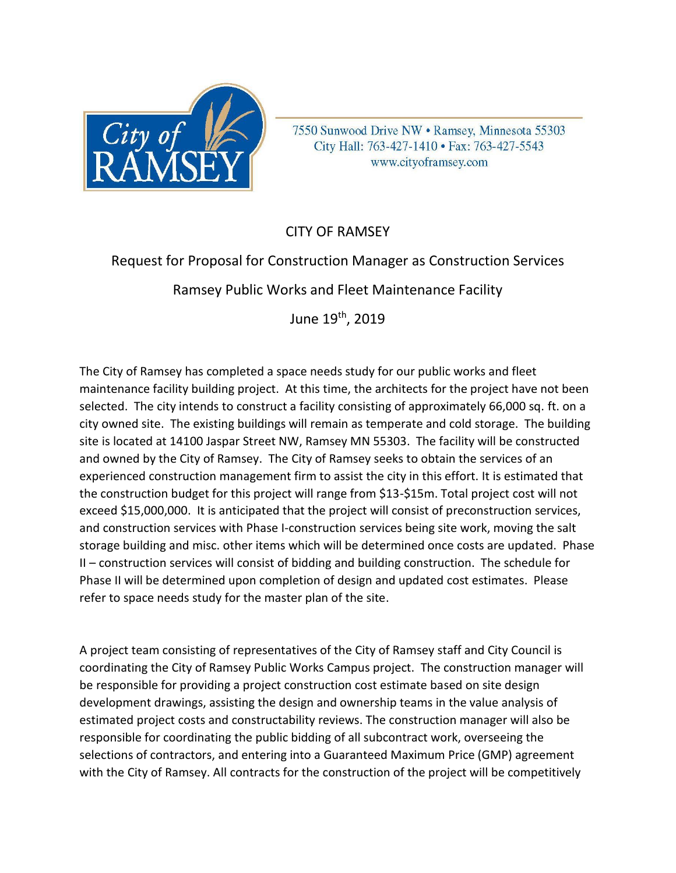

7550 Sunwood Drive NW . Ramsey, Minnesota 55303 City Hall: 763-427-1410 · Fax: 763-427-5543 www.cityoframsey.com

## CITY OF RAMSEY

# Request for Proposal for Construction Manager as Construction Services

Ramsey Public Works and Fleet Maintenance Facility

June 19th, 2019

The City of Ramsey has completed a space needs study for our public works and fleet maintenance facility building project. At this time, the architects for the project have not been selected. The city intends to construct a facility consisting of approximately 66,000 sq. ft. on a city owned site. The existing buildings will remain as temperate and cold storage. The building site is located at 14100 Jaspar Street NW, Ramsey MN 55303. The facility will be constructed and owned by the City of Ramsey. The City of Ramsey seeks to obtain the services of an experienced construction management firm to assist the city in this effort. It is estimated that the construction budget for this project will range from \$13-\$15m. Total project cost will not exceed \$15,000,000. It is anticipated that the project will consist of preconstruction services, and construction services with Phase I-construction services being site work, moving the salt storage building and misc. other items which will be determined once costs are updated. Phase II – construction services will consist of bidding and building construction. The schedule for Phase II will be determined upon completion of design and updated cost estimates. Please refer to space needs study for the master plan of the site.

A project team consisting of representatives of the City of Ramsey staff and City Council is coordinating the City of Ramsey Public Works Campus project. The construction manager will be responsible for providing a project construction cost estimate based on site design development drawings, assisting the design and ownership teams in the value analysis of estimated project costs and constructability reviews. The construction manager will also be responsible for coordinating the public bidding of all subcontract work, overseeing the selections of contractors, and entering into a Guaranteed Maximum Price (GMP) agreement with the City of Ramsey. All contracts for the construction of the project will be competitively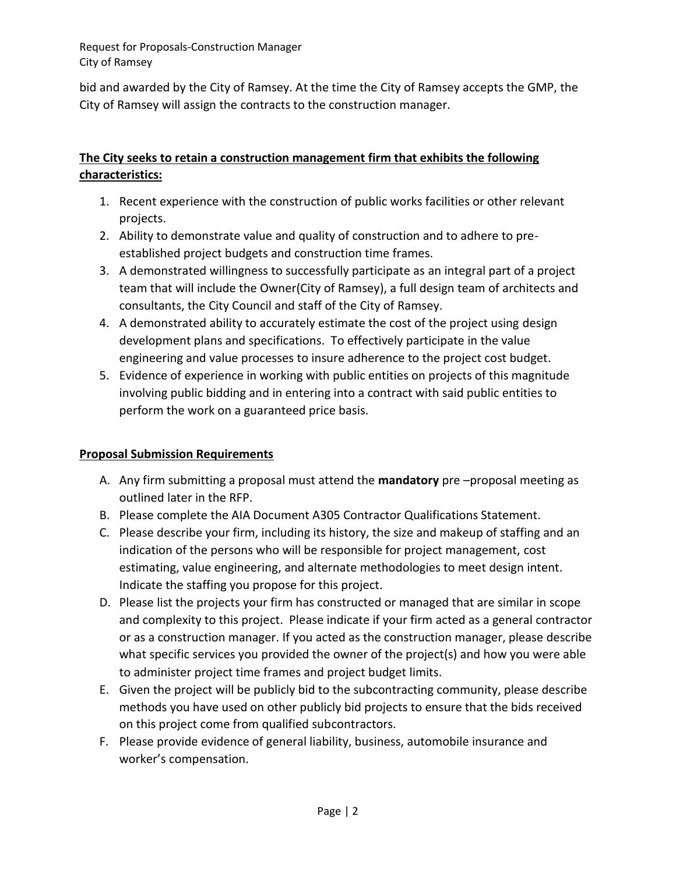Request for Proposals-Construction Manager City of Ramsey

bid and awarded by the City of Ramsey. At the time the City of Ramsey accepts the GMP, the City of Ramsey will assign the contracts to the construction manager.

## **The City seeks to retain a construction management firm that exhibits the following characteristics:**

- 1. Recent experience with the construction of public works facilities or other relevant projects.
- 2. Ability to demonstrate value and quality of construction and to adhere to preestablished project budgets and construction time frames.
- 3. A demonstrated willingness to successfully participate as an integral part of a project team that will include the Owner(City of Ramsey), a full design team of architects and consultants, the City Council and staff of the City of Ramsey.
- 4. A demonstrated ability to accurately estimate the cost of the project using design development plans and specifications. To effectively participate in the value engineering and value processes to insure adherence to the project cost budget.
- 5. Evidence of experience in working with public entities on projects of this magnitude involving public bidding and in entering into a contract with said public entities to perform the work on a guaranteed price basis.

## **Proposal Submission Requirements**

- A. Any firm submitting a proposal must attend the **mandatory** pre –proposal meeting as outlined later in the RFP.
- B. Please complete the AIA Document A305 Contractor Qualifications Statement.
- C. Please describe your firm, including its history, the size and makeup of staffing and an indication of the persons who will be responsible for project management, cost estimating, value engineering, and alternate methodologies to meet design intent. Indicate the staffing you propose for this project.
- D. Please list the projects your firm has constructed or managed that are similar in scope and complexity to this project. Please indicate if your firm acted as a general contractor or as a construction manager. If you acted as the construction manager, please describe what specific services you provided the owner of the project(s) and how you were able to administer project time frames and project budget limits.
- E. Given the project will be publicly bid to the subcontracting community, please describe methods you have used on other publicly bid projects to ensure that the bids received on this project come from qualified subcontractors.
- F. Please provide evidence of general liability, business, automobile insurance and worker's compensation.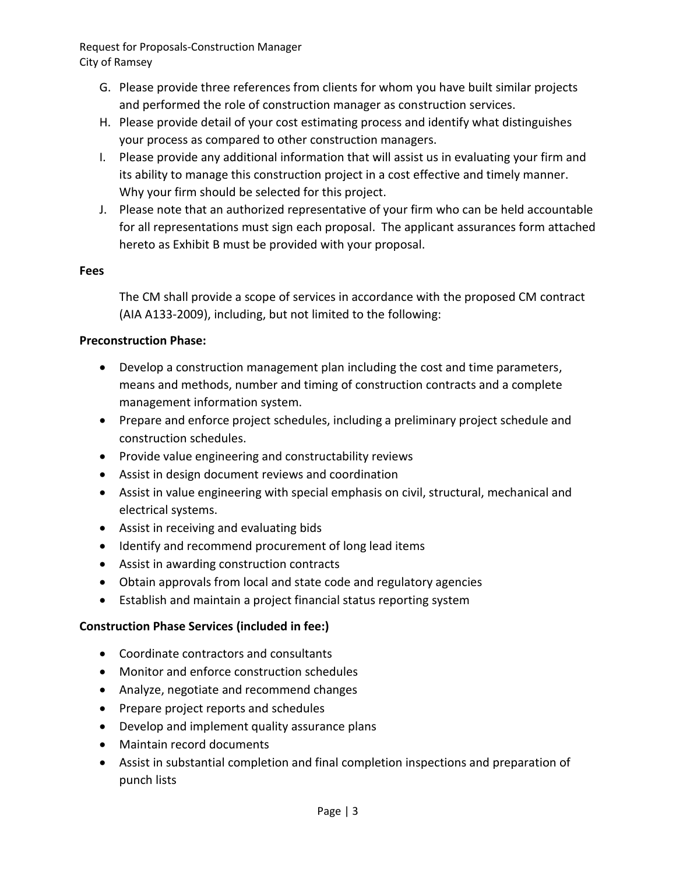Request for Proposals-Construction Manager City of Ramsey

- G. Please provide three references from clients for whom you have built similar projects and performed the role of construction manager as construction services.
- H. Please provide detail of your cost estimating process and identify what distinguishes your process as compared to other construction managers.
- I. Please provide any additional information that will assist us in evaluating your firm and its ability to manage this construction project in a cost effective and timely manner. Why your firm should be selected for this project.
- J. Please note that an authorized representative of your firm who can be held accountable for all representations must sign each proposal. The applicant assurances form attached hereto as Exhibit B must be provided with your proposal.

#### **Fees**

The CM shall provide a scope of services in accordance with the proposed CM contract (AIA A133-2009), including, but not limited to the following:

#### **Preconstruction Phase:**

- Develop a construction management plan including the cost and time parameters, means and methods, number and timing of construction contracts and a complete management information system.
- Prepare and enforce project schedules, including a preliminary project schedule and construction schedules.
- Provide value engineering and constructability reviews
- Assist in design document reviews and coordination
- Assist in value engineering with special emphasis on civil, structural, mechanical and electrical systems.
- Assist in receiving and evaluating bids
- Identify and recommend procurement of long lead items
- Assist in awarding construction contracts
- Obtain approvals from local and state code and regulatory agencies
- Establish and maintain a project financial status reporting system

#### **Construction Phase Services (included in fee:)**

- Coordinate contractors and consultants
- Monitor and enforce construction schedules
- Analyze, negotiate and recommend changes
- Prepare project reports and schedules
- Develop and implement quality assurance plans
- Maintain record documents
- Assist in substantial completion and final completion inspections and preparation of punch lists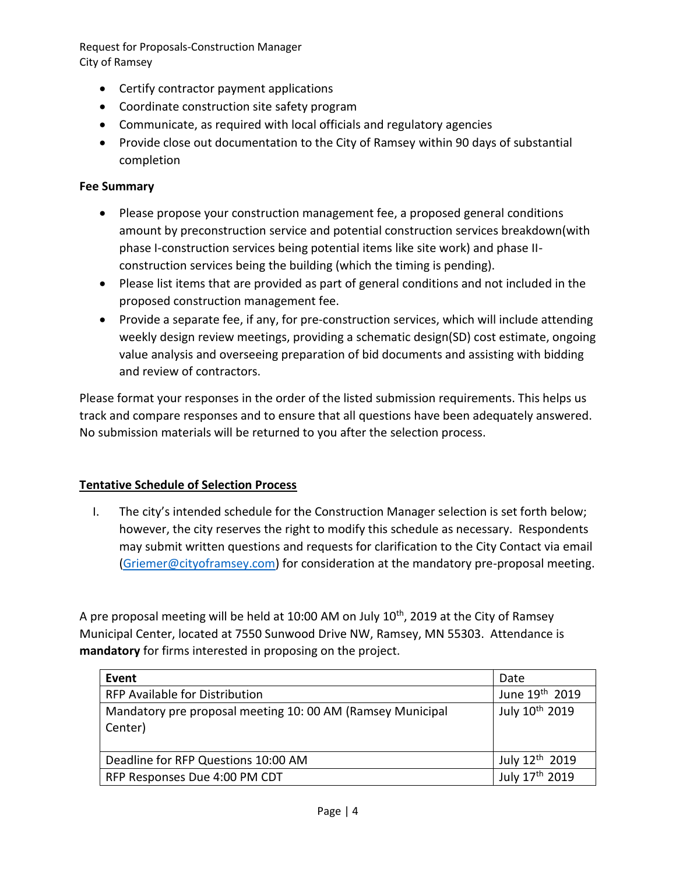Request for Proposals-Construction Manager City of Ramsey

- Certify contractor payment applications
- Coordinate construction site safety program
- Communicate, as required with local officials and regulatory agencies
- Provide close out documentation to the City of Ramsey within 90 days of substantial completion

#### **Fee Summary**

- Please propose your construction management fee, a proposed general conditions amount by preconstruction service and potential construction services breakdown(with phase I-construction services being potential items like site work) and phase IIconstruction services being the building (which the timing is pending).
- Please list items that are provided as part of general conditions and not included in the proposed construction management fee.
- Provide a separate fee, if any, for pre-construction services, which will include attending weekly design review meetings, providing a schematic design(SD) cost estimate, ongoing value analysis and overseeing preparation of bid documents and assisting with bidding and review of contractors.

Please format your responses in the order of the listed submission requirements. This helps us track and compare responses and to ensure that all questions have been adequately answered. No submission materials will be returned to you after the selection process.

### **Tentative Schedule of Selection Process**

I. The city's intended schedule for the Construction Manager selection is set forth below; however, the city reserves the right to modify this schedule as necessary. Respondents may submit written questions and requests for clarification to the City Contact via email [\(Griemer@cityoframsey.com\)](mailto:Griemer@cityoframsey.com) for consideration at the mandatory pre-proposal meeting.

A pre proposal meeting will be held at 10:00 AM on July 10<sup>th</sup>, 2019 at the City of Ramsey Municipal Center, located at 7550 Sunwood Drive NW, Ramsey, MN 55303. Attendance is **mandatory** for firms interested in proposing on the project.

| Event                                                                | Date                       |
|----------------------------------------------------------------------|----------------------------|
| <b>RFP Available for Distribution</b>                                | June 19 <sup>th</sup> 2019 |
| Mandatory pre proposal meeting 10:00 AM (Ramsey Municipal<br>Center) | July 10 <sup>th</sup> 2019 |
| Deadline for RFP Questions 10:00 AM                                  | July 12 <sup>th</sup> 2019 |
| RFP Responses Due 4:00 PM CDT                                        | July 17th 2019             |